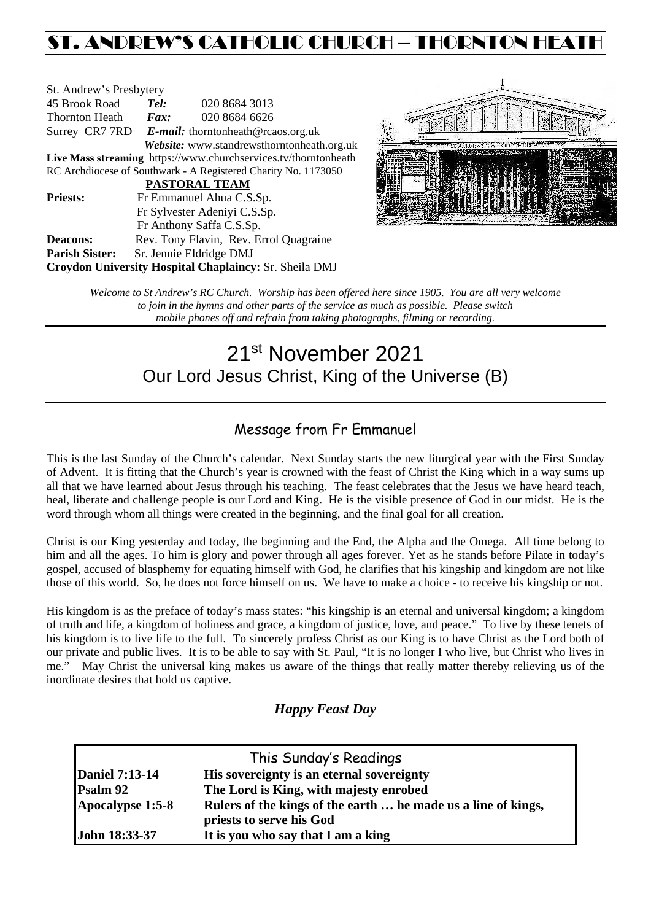# ST. ANDREW'S CATHOLIC CHURCH – THORNTON HEATH

| St. Andrew's Presbytery                                         |                                                   |                                        |  |  |  |
|-----------------------------------------------------------------|---------------------------------------------------|----------------------------------------|--|--|--|
| 45 Brook Road                                                   | Tel:                                              | 020 8684 3013                          |  |  |  |
| <b>Thornton Heath</b>                                           | Fax:                                              | 020 8684 6626                          |  |  |  |
|                                                                 | Surrey CR7 7RD E-mail: thorntonheath@rcaos.org.uk |                                        |  |  |  |
| Website: www.standrewsthorntonheath.org.uk                      |                                                   |                                        |  |  |  |
| Live Mass streaming https://www.churchservices.tv/thorntonheath |                                                   |                                        |  |  |  |
| RC Archdiocese of Southwark - A Registered Charity No. 1173050  |                                                   |                                        |  |  |  |
| <b>PASTORAL TEAM</b>                                            |                                                   |                                        |  |  |  |
| <b>Priests:</b>                                                 | Fr Emmanuel Ahua C.S.Sp.                          |                                        |  |  |  |
| Fr Sylvester Adeniyi C.S.Sp.                                    |                                                   |                                        |  |  |  |
|                                                                 | Fr Anthony Saffa C.S.Sp.                          |                                        |  |  |  |
| Deacons:                                                        |                                                   | Rev. Tony Flavin, Rev. Errol Quagraine |  |  |  |
| <b>Parish Sister:</b>                                           | Sr. Jennie Eldridge DMJ                           |                                        |  |  |  |
| <b>Croydon University Hospital Chaplaincy: Sr. Sheila DMJ</b>   |                                                   |                                        |  |  |  |



*Welcome to St Andrew's RC Church. Worship has been offered here since 1905. You are all very welcome to join in the hymns and other parts of the service as much as possible. Please switch mobile phones off and refrain from taking photographs, filming or recording.*

# 21st November 2021 Our Lord Jesus Christ, King of the Universe (B)

# Message from Fr Emmanuel

This is the last Sunday of the Church's calendar. Next Sunday starts the new liturgical year with the First Sunday of Advent. It is fitting that the Church's year is crowned with the feast of Christ the King which in a way sums up all that we have learned about Jesus through his teaching. The feast celebrates that the Jesus we have heard teach, heal, liberate and challenge people is our Lord and King. He is the visible presence of God in our midst. He is the word through whom all things were created in the beginning, and the final goal for all creation.

Christ is our King yesterday and today, the beginning and the End, the Alpha and the Omega. All time belong to him and all the ages. To him is glory and power through all ages forever. Yet as he stands before Pilate in today's gospel, accused of blasphemy for equating himself with God, he clarifies that his kingship and kingdom are not like those of this world. So, he does not force himself on us. We have to make a choice - to receive his kingship or not.

His kingdom is as the preface of today's mass states: "his kingship is an eternal and universal kingdom; a kingdom of truth and life, a kingdom of holiness and grace, a kingdom of justice, love, and peace." To live by these tenets of his kingdom is to live life to the full. To sincerely profess Christ as our King is to have Christ as the Lord both of our private and public lives. It is to be able to say with St. Paul, "It is no longer I who live, but Christ who lives in me." May Christ the universal king makes us aware of the things that really matter thereby relieving us of the inordinate desires that hold us captive.

# *Happy Feast Day*

| This Sunday's Readings |                                                               |  |  |  |
|------------------------|---------------------------------------------------------------|--|--|--|
| <b>Daniel 7:13-14</b>  | His sovereignty is an eternal sovereignty                     |  |  |  |
| Psalm 92               | The Lord is King, with majesty enrobed                        |  |  |  |
| Apocalypse 1:5-8       | Rulers of the kings of the earth  he made us a line of kings, |  |  |  |
|                        | priests to serve his God                                      |  |  |  |
| John 18:33-37          | It is you who say that I am a king                            |  |  |  |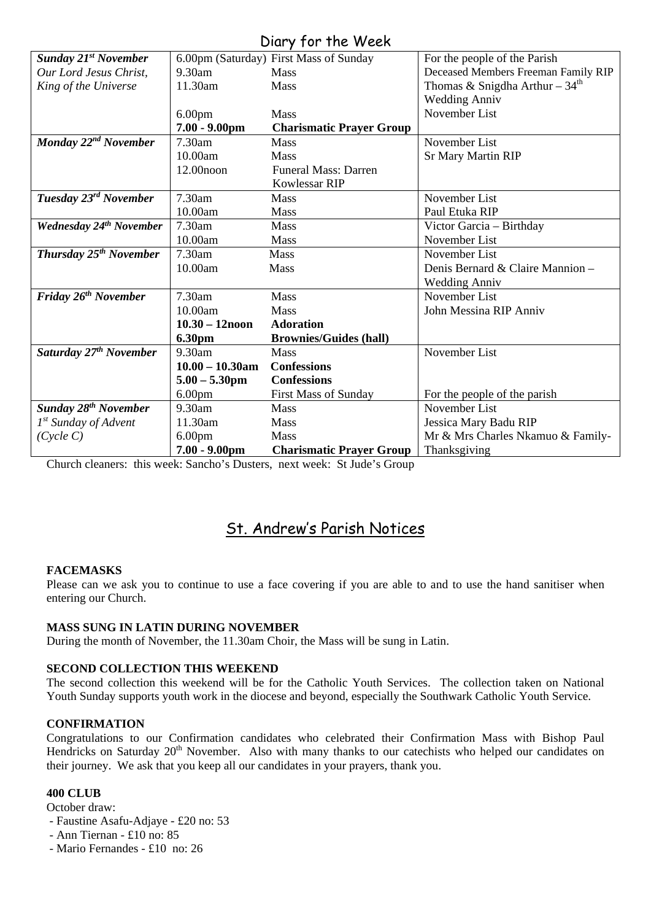# Diary for the Week

|                                    |                    | UNIY JUI IIIE WEEN                     |                                     |
|------------------------------------|--------------------|----------------------------------------|-------------------------------------|
| <b>Sunday 21st November</b>        |                    | 6.00pm (Saturday) First Mass of Sunday | For the people of the Parish        |
| Our Lord Jesus Christ,             | $9.30$ am          | <b>Mass</b>                            | Deceased Members Freeman Family RIP |
| King of the Universe               | 11.30am            | Mass                                   | Thomas & Snigdha Arthur – $34th$    |
|                                    |                    |                                        | <b>Wedding Anniv</b>                |
|                                    | 6.00 <sub>pm</sub> | <b>Mass</b>                            | November List                       |
|                                    | $7.00 - 9.00$ pm   | <b>Charismatic Prayer Group</b>        |                                     |
| Monday 22 <sup>nd</sup> November   | 7.30am             | <b>Mass</b>                            | November List                       |
|                                    | 10.00am            | <b>Mass</b>                            | <b>Sr Mary Martin RIP</b>           |
|                                    | 12.00noon          | <b>Funeral Mass: Darren</b>            |                                     |
|                                    |                    | <b>Kowlessar RIP</b>                   |                                     |
| Tuesday 23 <sup>rd</sup> November  | 7.30am             | <b>Mass</b>                            | November List                       |
|                                    | 10.00am            | <b>Mass</b>                            | Paul Etuka RIP                      |
| <b>Wednesday 24th November</b>     | 7.30am             | <b>Mass</b>                            | Victor Garcia - Birthday            |
|                                    | 10.00am            | <b>Mass</b>                            | November List                       |
| Thursday 25 <sup>th</sup> November | 7.30am             | Mass                                   | November List                       |
|                                    | 10.00am            | Mass                                   | Denis Bernard & Claire Mannion -    |
|                                    |                    |                                        | <b>Wedding Anniv</b>                |
| Friday 26 <sup>th</sup> November   | 7.30am             | <b>Mass</b>                            | November List                       |
|                                    | 10.00am            | <b>Mass</b>                            | John Messina RIP Anniv              |
|                                    | $10.30 - 12$ noon  | <b>Adoration</b>                       |                                     |
|                                    | 6.30pm             | <b>Brownies/Guides (hall)</b>          |                                     |
| Saturday 27 <sup>th</sup> November | 9.30am             | <b>Mass</b>                            | November List                       |
|                                    | $10.00 - 10.30$ am | <b>Confessions</b>                     |                                     |
|                                    | $5.00 - 5.30$ pm   | <b>Confessions</b>                     |                                     |
|                                    | 6.00 <sub>pm</sub> | <b>First Mass of Sunday</b>            | For the people of the parish        |
| <b>Sunday 28th November</b>        | $9.30$ am          | <b>Mass</b>                            | November List                       |
| 1 <sup>st</sup> Sunday of Advent   | 11.30am            | Mass                                   | Jessica Mary Badu RIP               |
| (Cycle C)                          | 6.00 <sub>pm</sub> | <b>Mass</b>                            | Mr & Mrs Charles Nkamuo & Family-   |
|                                    | $7.00 - 9.00$ pm   | <b>Charismatic Prayer Group</b>        | Thanksgiving                        |

Church cleaners: this week: Sancho's Dusters, next week: St Jude's Group

# St. Andrew's Parish Notices

## **FACEMASKS**

Please can we ask you to continue to use a face covering if you are able to and to use the hand sanitiser when entering our Church.

## **MASS SUNG IN LATIN DURING NOVEMBER**

During the month of November, the 11.30am Choir, the Mass will be sung in Latin.

# **SECOND COLLECTION THIS WEEKEND**

The second collection this weekend will be for the Catholic Youth Services. The collection taken on National Youth Sunday supports youth work in the diocese and beyond, especially the Southwark Catholic Youth Service.

## **CONFIRMATION**

Congratulations to our Confirmation candidates who celebrated their Confirmation Mass with Bishop Paul Hendricks on Saturday 20<sup>th</sup> November. Also with many thanks to our catechists who helped our candidates on their journey. We ask that you keep all our candidates in your prayers, thank you.

## **400 CLUB**

October draw:

- Faustine Asafu-Adjaye £20 no: 53
- Ann Tiernan £10 no: 85
- Mario Fernandes £10 no: 26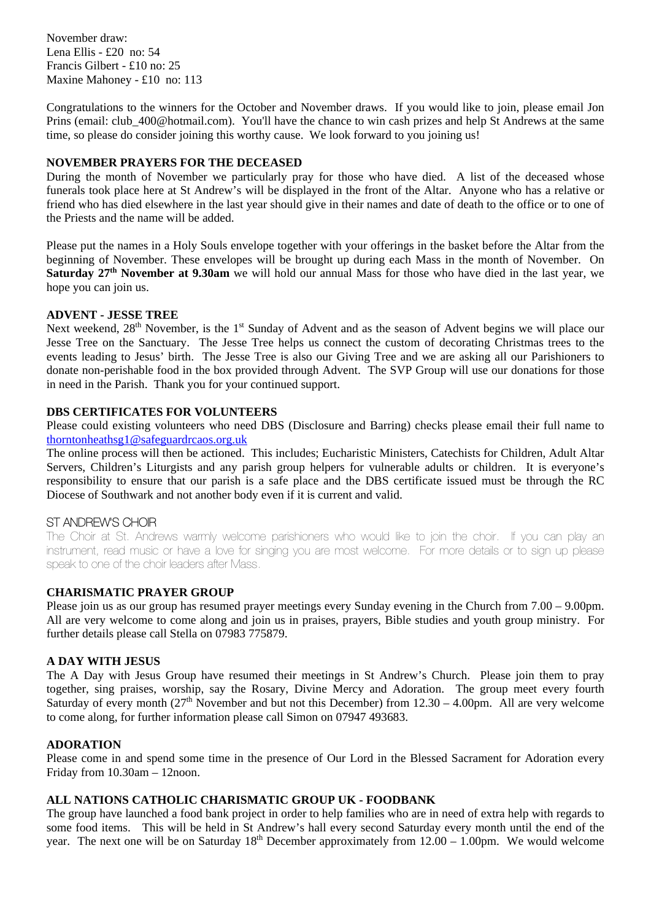November draw: Lena Ellis - £20 no: 54 Francis Gilbert - £10 no: 25 Maxine Mahoney - £10 no: 113

Congratulations to the winners for the October and November draws. If you would like to join, please email Jon Prins (email: club\_400@hotmail.com). You'll have the chance to win cash prizes and help St Andrews at the same time, so please do consider joining this worthy cause. We look forward to you joining us!

## **NOVEMBER PRAYERS FOR THE DECEASED**

During the month of November we particularly pray for those who have died. A list of the deceased whose funerals took place here at St Andrew's will be displayed in the front of the Altar. Anyone who has a relative or friend who has died elsewhere in the last year should give in their names and date of death to the office or to one of the Priests and the name will be added.

Please put the names in a Holy Souls envelope together with your offerings in the basket before the Altar from the beginning of November. These envelopes will be brought up during each Mass in the month of November. On **Saturday 27th November at 9.30am** we will hold our annual Mass for those who have died in the last year, we hope you can join us.

# **ADVENT - JESSE TREE**

Next weekend, 28<sup>th</sup> November, is the 1<sup>st</sup> Sunday of Advent and as the season of Advent begins we will place our Jesse Tree on the Sanctuary. The Jesse Tree helps us connect the custom of decorating Christmas trees to the events leading to Jesus' birth. The Jesse Tree is also our Giving Tree and we are asking all our Parishioners to donate non-perishable food in the box provided through Advent. The SVP Group will use our donations for those in need in the Parish. Thank you for your continued support.

# **DBS CERTIFICATES FOR VOLUNTEERS**

Please could existing volunteers who need DBS (Disclosure and Barring) checks please email their full name to [thorntonheathsg1@safeguardrcaos.org.uk](mailto:thorntonheathsg1@safeguardrcaos.org.uk)

The online process will then be actioned. This includes; Eucharistic Ministers, Catechists for Children, Adult Altar Servers, Children's Liturgists and any parish group helpers for vulnerable adults or children. It is everyone's responsibility to ensure that our parish is a safe place and the DBS certificate issued must be through the RC Diocese of Southwark and not another body even if it is current and valid.

# ST ANDREW'S CHOIR

The Choir at St. Andrews warmly welcome parishioners who would like to join the choir. If you can play an instrument, read music or have a love for singing you are most welcome. For more details or to sign up please speak to one of the choir leaders after Mass.

# **CHARISMATIC PRAYER GROUP**

Please join us as our group has resumed prayer meetings every Sunday evening in the Church from 7.00 – 9.00pm. All are very welcome to come along and join us in praises, prayers, Bible studies and youth group ministry. For further details please call Stella on 07983 775879.

## **A DAY WITH JESUS**

The A Day with Jesus Group have resumed their meetings in St Andrew's Church. Please join them to pray together, sing praises, worship, say the Rosary, Divine Mercy and Adoration. The group meet every fourth Saturday of every month  $(27<sup>th</sup>$  November and but not this December) from  $12.30 - 4.00$ pm. All are very welcome to come along, for further information please call Simon on 07947 493683.

## **ADORATION**

Please come in and spend some time in the presence of Our Lord in the Blessed Sacrament for Adoration every Friday from 10.30am – 12noon.

## **ALL NATIONS CATHOLIC CHARISMATIC GROUP UK - FOODBANK**

The group have launched a food bank project in order to help families who are in need of extra help with regards to some food items. This will be held in St Andrew's hall every second Saturday every month until the end of the year. The next one will be on Saturday  $18<sup>th</sup>$  December approximately from  $12.00 - 1.00$ pm. We would welcome